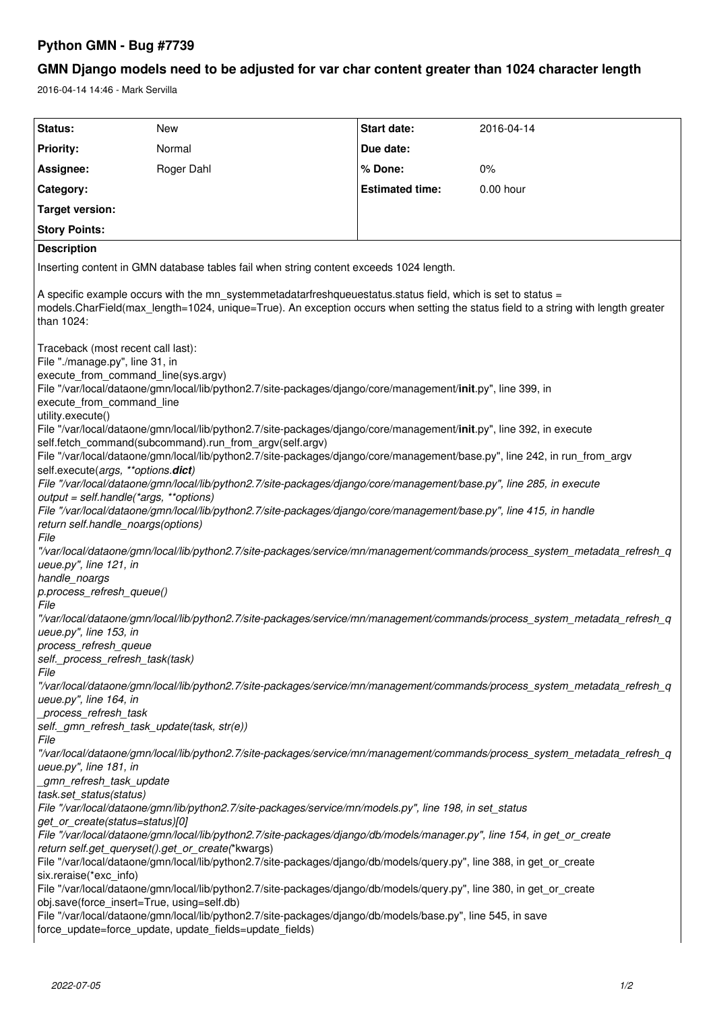## **Python GMN - Bug #7739**

## **GMN Django models need to be adjusted for var char content greater than 1024 character length**

2016-04-14 14:46 - Mark Servilla

| Status:                                                                                                                                                                                                                                                                                                       | <b>New</b> | Start date:            | 2016-04-14 |
|---------------------------------------------------------------------------------------------------------------------------------------------------------------------------------------------------------------------------------------------------------------------------------------------------------------|------------|------------------------|------------|
| <b>Priority:</b>                                                                                                                                                                                                                                                                                              | Normal     | Due date:              |            |
| Assignee:                                                                                                                                                                                                                                                                                                     | Roger Dahl | % Done:                | 0%         |
| Category:                                                                                                                                                                                                                                                                                                     |            | <b>Estimated time:</b> | 0.00 hour  |
| <b>Target version:</b>                                                                                                                                                                                                                                                                                        |            |                        |            |
| <b>Story Points:</b>                                                                                                                                                                                                                                                                                          |            |                        |            |
| <b>Description</b>                                                                                                                                                                                                                                                                                            |            |                        |            |
| Inserting content in GMN database tables fail when string content exceeds 1024 length.                                                                                                                                                                                                                        |            |                        |            |
| A specific example occurs with the mn_systemmetadatarfreshqueuestatus.status field, which is set to status =<br>models.CharField(max_length=1024, unique=True). An exception occurs when setting the status field to a string with length greater<br>than 1024:                                               |            |                        |            |
| Traceback (most recent call last):<br>File "./manage.py", line 31, in<br>execute_from_command_line(sys.argv)<br>File "/var/local/dataone/gmn/local/lib/python2.7/site-packages/django/core/management/init.py", line 399, in<br>execute_from_command_line<br>utility.execute()                                |            |                        |            |
| File "/var/local/dataone/gmn/local/lib/python2.7/site-packages/django/core/management/init.py", line 392, in execute<br>self.fetch_command(subcommand).run_from_argv(self.argv)<br>File "/var/local/dataone/gmn/local/lib/python2.7/site-packages/django/core/management/base.py", line 242, in run_from_argv |            |                        |            |
| self.execute(args, **options.dict)<br>File "/var/local/dataone/gmn/local/lib/python2.7/site-packages/django/core/management/base.py", line 285, in execute<br>output = self.handle(*args, **options)                                                                                                          |            |                        |            |
| File "/var/local/dataone/gmn/local/lib/python2.7/site-packages/django/core/management/base.py", line 415, in handle<br>return self.handle_noargs(options)<br>File                                                                                                                                             |            |                        |            |
| "/var/local/dataone/gmn/local/lib/python2.7/site-packages/service/mn/management/commands/process_system_metadata_refresh_q<br>ueue.py", line 121, in<br>handle_noargs                                                                                                                                         |            |                        |            |
| p.process_refresh_queue()<br>File                                                                                                                                                                                                                                                                             |            |                        |            |
| "/var/local/dataone/gmn/local/lib/python2.7/site-packages/service/mn/management/commands/process_system_metadata_refresh_q<br>ueue.py", line 153, in                                                                                                                                                          |            |                        |            |
| process_refresh_queue<br>self. process refresh task(task)                                                                                                                                                                                                                                                     |            |                        |            |
| File<br>"/var/local/dataone/gmn/local/lib/python2.7/site-packages/service/mn/management/commands/process_system_metadata_refresh_q<br>ueue.py", line 164, in                                                                                                                                                  |            |                        |            |
| process_refresh_task<br>self._gmn_refresh_task_update(task, str(e))<br>File                                                                                                                                                                                                                                   |            |                        |            |
| "/var/local/dataone/gmn/local/lib/python2.7/site-packages/service/mn/management/commands/process_system_metadata_refresh_q<br>ueue.py", line 181, in                                                                                                                                                          |            |                        |            |
| gmn_refresh_task_update<br>task.set_status(status)<br>File "/var/local/dataone/gmn/lib/python2.7/site-packages/service/mn/models.py", line 198, in set_status                                                                                                                                                 |            |                        |            |
| get_or_create(status=status)[0]<br>File "/var/local/dataone/gmn/local/lib/python2.7/site-packages/django/db/models/manager.py", line 154, in get_or_create                                                                                                                                                    |            |                        |            |
| return self.get_queryset().get_or_create(*kwargs)<br>File "/var/local/dataone/gmn/local/lib/python2.7/site-packages/django/db/models/query.py", line 388, in get_or_create<br>six.reraise(*exc_info)                                                                                                          |            |                        |            |
| File "/var/local/dataone/gmn/local/lib/python2.7/site-packages/django/db/models/query.py", line 380, in get_or_create<br>obj.save(force_insert=True, using=self.db)                                                                                                                                           |            |                        |            |
| File "/var/local/dataone/gmn/local/lib/python2.7/site-packages/django/db/models/base.py", line 545, in save<br>force_update=force_update, update_fields=update_fields)                                                                                                                                        |            |                        |            |